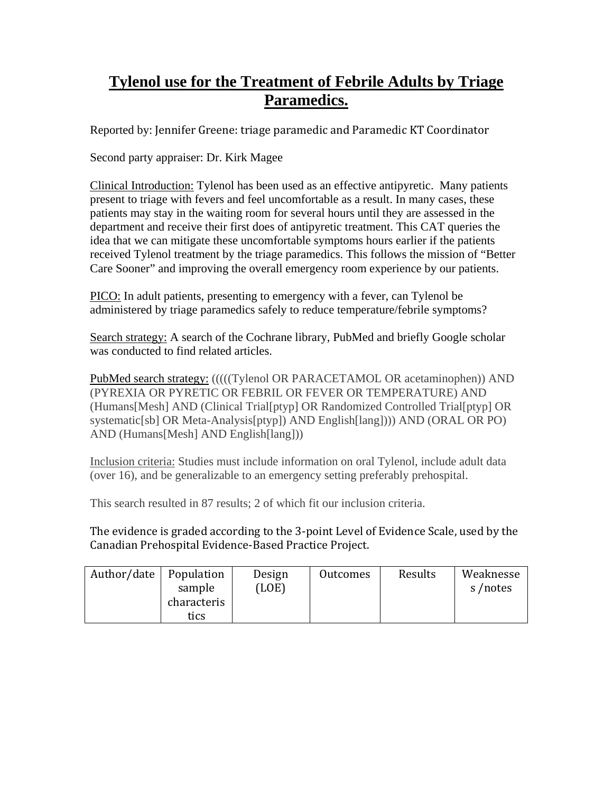## **Tylenol use for the Treatment of Febrile Adults by Triage Paramedics.**

Reported by: Jennifer Greene: triage paramedic and Paramedic KT Coordinator

Second party appraiser: Dr. Kirk Magee

Clinical Introduction: Tylenol has been used as an effective antipyretic. Many patients present to triage with fevers and feel uncomfortable as a result. In many cases, these patients may stay in the waiting room for several hours until they are assessed in the department and receive their first does of antipyretic treatment. This CAT queries the idea that we can mitigate these uncomfortable symptoms hours earlier if the patients received Tylenol treatment by the triage paramedics. This follows the mission of "Better Care Sooner" and improving the overall emergency room experience by our patients.

PICO: In adult patients, presenting to emergency with a fever, can Tylenol be administered by triage paramedics safely to reduce temperature/febrile symptoms?

Search strategy: A search of the Cochrane library, PubMed and briefly Google scholar was conducted to find related articles.

PubMed search strategy: (((((Tylenol OR PARACETAMOL OR acetaminophen)) AND (PYREXIA OR PYRETIC OR FEBRIL OR FEVER OR TEMPERATURE) AND (Humans[Mesh] AND (Clinical Trial[ptyp] OR Randomized Controlled Trial[ptyp] OR systematic[sb] OR Meta-Analysis[ptyp]) AND English[lang]))) AND (ORAL OR PO) AND (Humans[Mesh] AND English[lang]))

Inclusion criteria: Studies must include information on oral Tylenol, include adult data (over 16), and be generalizable to an emergency setting preferably prehospital.

This search resulted in 87 results; 2 of which fit our inclusion criteria.

The evidence is graded according to the 3‐point Level of Evidence Scale, used by the Canadian Prehospital Evidence‐Based Practice Project.

| Population<br>sample | Design<br>(LOE) | Outcomes | Results | Weaknesse<br>s/notes |
|----------------------|-----------------|----------|---------|----------------------|
| characteris<br>tics  |                 |          |         |                      |